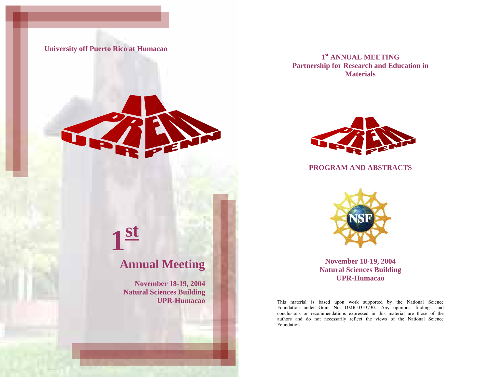**University off Puerto Rico at Humacao**



**1st**

**1st ANNUAL MEETING Partnership for Research and Education in Materials** 



## **PROGRAM AND ABSTRACTS**



**November 18-19, 2004 Natural Sciences Building UPR-Humacao** 

This material is based upon work supported by the National Science Foundation under Grant No. DMR-0353730. Any opinions, findings, and conclusions or recommendations expressed in this material are those of the authors and do not necessarily reflect the views of the National Science Foundation.

# **Annual Meeting**

**November 18-19, 2004 Natural Sciences Building UPR-Humacao**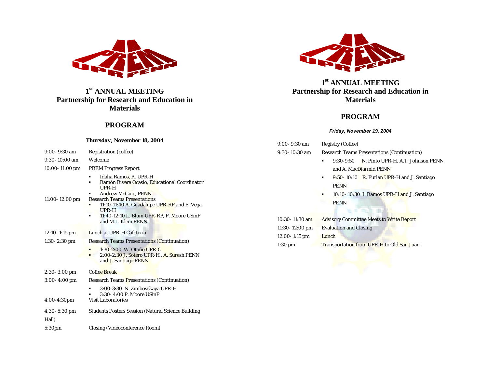

**1st ANNUAL MEETING Partnership for Research and Education in Materials** 

## **PROGRAM**

#### *Thursday, November 18, 2004*

| $9:00 - 9:30$ am   | <b>Registration</b> (coffee)                                                                                                                                                                                                                                                      |
|--------------------|-----------------------------------------------------------------------------------------------------------------------------------------------------------------------------------------------------------------------------------------------------------------------------------|
| $9:30-10:00$ am    | Welcome                                                                                                                                                                                                                                                                           |
| $10:00 - 11:00$ pm | <b>PREM Progress Report</b>                                                                                                                                                                                                                                                       |
| $11:00 - 12:00$ pm | Idalia Ramos, PI UPR-H<br>Ramón Rivera Ocasio, Educational Coordinator<br>UPR-H<br><b>Andrew McGuie, PENN</b><br><b>Research Teams Presentations</b><br>11:10-11:40 A. Guadalupe UPR-RP and E. Vega<br>UPR-H<br>11:40-12:10 L. Blum UPR-RP, P. Moore USinP<br>and M.L. Klein PENN |
| $12:10 - 1:15$ pm  | Lunch at UPR-H Cafeteria                                                                                                                                                                                                                                                          |
| $1:30-2:30$ pm     | <b>Research Teams Presentations (Continuation)</b>                                                                                                                                                                                                                                |
|                    | $1:30-2:00$ W. Otaño UPR-C<br>2:00-2:30 J. Sotero UPR-H, A. Suresh PENN<br>and J. Santiago PENN                                                                                                                                                                                   |
| $2:30-3:00$ pm     | <b>Coffee Break</b>                                                                                                                                                                                                                                                               |
| $3:00-4:00$ pm     | <b>Research Teams Presentations (Continuation)</b>                                                                                                                                                                                                                                |
| $4:00-4:30$ pm     | 3:00-3:30 N. Zimbovskaya UPR-H<br>٠<br>3:30-4:00 P. Moore USinP<br><b>Visit Laboratories</b>                                                                                                                                                                                      |
| $4:30 - 5:30$ pm   | <b>Students Posters Session (Natural Science Building)</b>                                                                                                                                                                                                                        |
| Hall)              |                                                                                                                                                                                                                                                                                   |
| 5:30 <sub>pm</sub> | <b>Closing (Videoconference Room)</b>                                                                                                                                                                                                                                             |



**1st ANNUAL MEETING Partnership for Research and Education in Materials** 

## **PROGRAM**

#### *Friday, November 19, 2004*

9:00- 9:30 am Registry (Coffee) 9:30- 10:30 am Research Teams Presentations (Continuation)  $\blacksquare$  9:30-9:50 N. Pinto UPR-H, A.T. Johnson PENN and A. MacDiarmid PENN  $\mathbf{r}$ 9:50- 10:10 R. Furlan UPR-H and J. Santiago PENN **10:10- 10:30 I. Ramos UPR-H and J. Santiago** PENN 10:30- 11:30 am Advisory Committee Meets to Write Report 11:30- 12:00 pm Evaluation and Closing 12:00-1:15 pm Lunch 1:30 pm Transportation from UPR-H to Old San Juan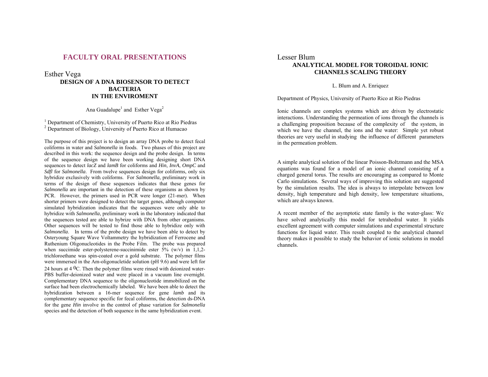## **FACULTY ORAL PRESENTATIONS**

#### Esther Vega

## **DESIGN OF A DNA BIOSENSOR TO DETECT BACTERIA IN THE ENVIROMENT**

## Ana Guadalupe<sup>1</sup> and Esther Vega<sup>2</sup>

1 Department of Chemistry, University of Puerto Rico at Rio Piedras <sup>2</sup> Department of Biology, University of Puerto Rico at Humacao

The purpose of this project is to design an array DNA probe to detect fecal coliforms in water and *Salmonella* in foods. Two phases of this project are described in this work: the sequence design and the probe design. In terms of the sequence design we have been working designing short DNA sequences to detect *lacZ* and *lamB* for coliforms and *Hin*, *InvA*, *OmpC* and *Sdfl* for *Salmonella*. From twelve sequences design for coliforms, only six hybridize exclusively with coliforms. For *Salmonella*, preliminary work in terms of the design of these sequences indicates that these genes for *Salmonella* are important in the detection of these organisms as shown by PCR. However, the primers used in PCR were longer (21-mer). When shorter primers were designed to detect the target genes, although computer simulated hybridization indicates that the sequences were only able to hybridize with *Salmonella*, preliminary work in the laboratory indicated that the sequences tested are able to hybrize with DNA from other organisms. Other sequences will be tested to find those able to hybridize only with *Salmonella*. In terms of the probe design we have been able to detect by Osteryoung Square Wave Voltammetry the hybridization of Ferrocene and Ruthenium Oligonucleotides in the Probe Film. The probe was prepared when succimide ester-polysterene-succinimide ester 5% (w/v) in 1,1,2trichloroethane was spin-coated over a gold substrate. The polymer films were immersed in the Am-oligonucletide solution (pH 9.6) and were left for 24 hours at 4 0C. Then the polymer films were rinsed with deionized water-PBS buffer-deionized water and were placed in a vacuum line overnight. Complementary DNA sequence to the oligonucleotide immobilized on the surface had been electrochemically labeled. We have been able to detect the hybridization between a 16-mer sequence for gene *lamb* and its complementary sequence specific for fecal coliforms, the detection ds-DNA for the gene *Hin* involve in the control of phase variation for *Salmonella* species and the detection of both sequence in the same hybridization event.

## Lesser Blum **ANALYTICAL MODEL FOR TOROIDAL IONIC CHANNELS SCALING THEORY**

L. Blum and A. Enriquez

Department of Physics, University of Puerto Rico at Río Piedras

Ionic channels are complex systems which are driven by electrostatic interactions. Understanding the permeation of ions through the channels is a challenging proposition because of the complexity of the system, in which we have the channel, the ions and the water: Simple yet robust theories are very useful in studying the influence of different parameters in the permeation problem.

A simple analytical solution of the linear Poisson-Boltzmann and the MSA equations was found for a model of an ionic channel consisting of a charged general torus. The results are encouraging as compared to Monte Carlo simulations. Several ways of improving this solution are suggested by the simulation results. The idea is always to interpolate between low density, high temperature and high density, low temperature situations, which are always known.

A recent member of the asymptotic state family is the water-glass: We have solved analytically this model for tetrahedral water. It yields excellent agreement with computer simulations and experimental structure functions for liquid water. This result coupled to the analytical channel theory makes it possible to study the behavior of ionic solutions in model channels.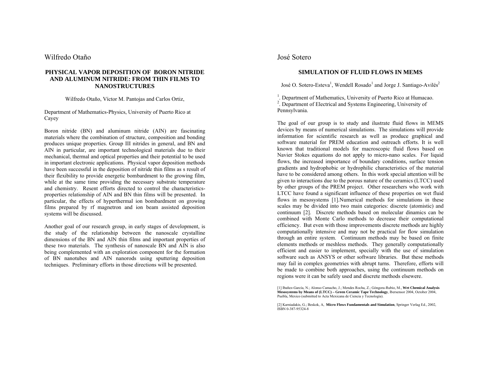## Wilfredo Otaño

#### **PHYSICAL VAPOR DEPOSITION OF BORON NITRIDE AND ALUMINUM NITRIDE: FROM THIN FILMS TO NANOSTRUCTURES**

Wilfredo Otaño, Víctor M. Pantojas and Carlos Ortiz,

Department of Mathematics-Physics, University of Puerto Rico at Cayey

Boron nitride (BN) and aluminum nitride (AlN) are fascinating materials where the combination of structure, composition and bonding produces unique properties. Group III nitrides in general, and BN and AlN in particular, are important technological materials due to their mechanical, thermal and optical properties and their potential to be used in important electronic applications. Physical vapor deposition methods have been successful in the deposition of nitride thin films as s result of their flexibility to provide energetic bombardment to the growing film, while at the same time providing the necessary substrate temperature and chemistry. Resent efforts directed to control the characteristicsproperties relationship of AlN and BN thin films will be presented. In particular, the effects of hyperthermal ion bombardment on growing films prepared by rf magnetron and ion beam assisted deposition systems will be discussed.

Another goal of our research group, in early stages of development, is the study of the relationship between the nanoscale crystalline dimensions of the BN and AlN thin films and important properties of these two materials. The synthesis of nanoscale BN and AlN is also being complemented with an exploration component for the formation of BN nanotubes and AlN nanorods using sputtering deposition techniques. Preliminary efforts in those directions will be presented.

## José Sotero

## **SIMULATION OF FLUID FLOWS IN MEMS**

José O. Sotero-Esteva<sup>1</sup>, Wendell Rosado<sup>1</sup> and Jorge J. Santiago-Avilés<sup>2</sup>

1. Department of Mathematics, University of Puerto Rico at Humacao.

<sup>2</sup>. Department of Electrical and Systems Engineering, University of Pennsylvania.

The goal of our group is to study and ilustrate fluid flows in MEMS devices by means of numerical simulations. The simulations will provide information for scientific research as well as produce graphical and software material for PREM education and outreach efforts. It is well known that traditional models for macroscopic fluid flows based on Navier Stokes equations do not apply to micro-nano scales. For liquid flows, the increased importance of boundary conditions, surface tension gradients and hydrophobic or hydrophilic characteristics of the material have to be considered among others. In this work special attention will be given to interactions due to the porous nature of the ceramics (LTCC) used by other groups of the PREM project. Other researchers who work with LTCC have found a significant influence of these properties on wet fluid flows in mesosystems [1].Numerical methods for simulations in these scales may be divided into two main categories: discrete (atomistic) and continuum [2]. Discrete methods based on molecular dinamics can be combined with Monte Carlo methods to decrease their computational efficiency. But even with those improvements discrete methods are highly computationally intensive and may not be practical for flow simulation through an entire system. Continuum methods may be based on finite elements methods or meshless methods. They generally computationally efficient and easier to implement, specially with the use of simulation software such as ANSYS or other software libraries. But these methods may fail in complex geometries with abrupt turns. Therefore, efforts will be made to combine both approaches, using the continuum methods on regions were it can be safely used and discrete methods elsewere.

[2] Karniadakis, G.; Beskok, A, **Micro Flows Fundamentals and Simulation**, Springer Verlag Ed., 2002, ISBN 0-387-95324-8

<sup>[1]</sup> Ibañez-García, N.; Alonso Camacho, J.; Mendes Rocha, Z.; Góngora-Rubio, M., **Wet Chemical Analysis Mesosystems by Means of (LTCC) – Green Ceramic Tape Technology**, Ibersensor 2004, October 2004, Puebla, Mexico (submitted to Acta Mexicana de Ciencia y Tecnología).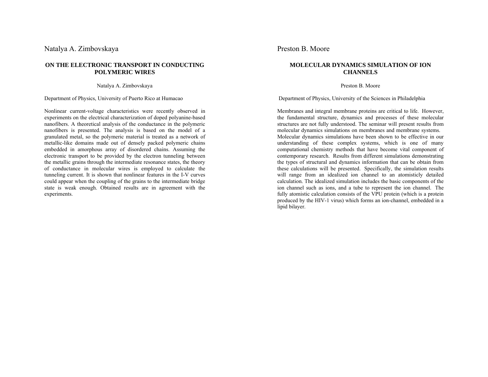## Natalya A. Zimbovskaya

## **ON THE ELECTRONIC TRANSPORT IN CONDUCTING POLYMERIC WIRES**

Natalya A. Zimbovskaya

#### Department of Physics, University of Puerto Rico at Humacao

Nonlinear current-voltage characteristics were recently observed in experiments on the electrical characterization of doped polyanine-based nanofibers. A theoretical analysis of the conductance in the polymeric nanofibers is presented. The analysis is based on the model of a granulated metal, so the polymeric material is treated as a network of metallic-like domains made out of densely packed polymeric chains embedded in amorphous array of disordered chains. Assuming the electronic transport to be provided by the electron tunneling between the metallic grains through the intermediate resonance states, the theory of conductance in molecular wires is employed to calculate the tunneling current. It is shown that nonlinear features in the I-V curves could appear when the coupling of the grains to the intermediate bridge state is weak enough. Obtained results are in agreement with the experiments.

## Preston B. Moore

## **MOLECULAR DYNAMICS SIMULATION OF ION CHANNELS**

Preston B. Moore

Department of Physics, University of the Sciences in Philadelphia

Membranes and integral membrane proteins are critical to life. However, the fundamental structure, dynamics and processes of these molecular structures are not fully understood. The seminar will present results from molecular dynamics simulations on membranes and membrane systems. Molecular dynamics simulations have been shown to be effective in our understanding of these complex systems, which is one of many computational chemistry methods that have become vital component of contemporary research. Results from different simulations demonstrating the types of structural and dynamics information that can be obtain from these calculations will be presented. Specifically, the simulation results will range from an idealized ion channel to an atomisticly detailed calculation. The idealized simulation includes the basic components of the ion channel such as ions, and a tube to represent the ion channel. The fully atomistic calculation consists of the VPU protein (which is a protein produced by the HIV-1 virus) which forms an ion-channel, embedded in a lipid bilayer.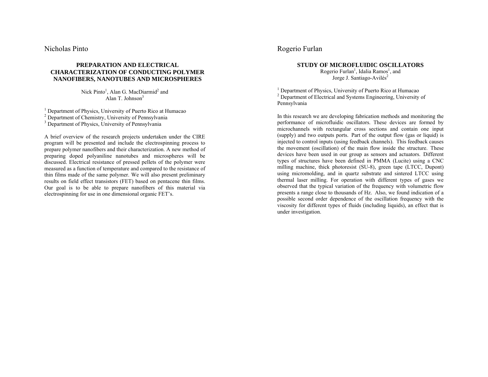Nicholas Pinto

## **PREPARATION AND ELECTRICAL CHARACTERIZATION OF CONDUCTING POLYMER NANOFIBERS, NANOTUBES AND MICROSPHERES**

Nick Pinto<sup>1</sup>, Alan G. MacDiarmid<sup>2</sup> and Alan  $T$ . Johnson $3$ 

1 Department of Physics, University of Puerto Rico at Humacao

<sup>2</sup> Department of Chemistry, University of Pennsylvania

<sup>3</sup> Department of Physics, University of Pennsylvania

A brief overview of the research projects undertaken under the CIRE program will be presented and include the electrospinning process to prepare polymer nanofibers and their characterization. A new method of preparing doped polyaniline nanotubes and microspheres will be discussed. Electrical resistance of pressed pellets of the polymer were measured as a function of temperature and compared to the resistance of thin films made of the same polymer. We will also present preliminary results on field effect transistors (FET) based on pentacene thin films. Our goal is to be able to prepare nanofibers of this material via electrospinning for use in one dimensional organic FET's.

## Rogerio Furlan

#### **STUDY OF MICROFLUIDIC OSCILLATORS**  Rogerio Furlan<sup>1</sup>, Idalia Ramos<sup>1</sup>, and

Jorge J. Santiago-Avilés<sup>2</sup>

<sup>1</sup> Department of Physics, University of Puerto Rico at Humacao <sup>2</sup> Department of Electrical and Systems Engineering, University of Pennsylvania

In this research we are developing fabrication methods and monitoring the performance of microfluidic oscillators. These devices are formed by microchannels with rectangular cross sections and contain one input (supply) and two outputs ports. Part of the output flow (gas or liquid) is injected to control inputs (using feedback channels). This feedback causes the movement (oscillation) of the main flow inside the structure. These devices have been used in our group as sensors and actuators. Different types of structures have been defined in PMMA (Lucite) using a CNC milling machine, thick photoresist (SU-8), green tape (LTCC, Dupont) using micromolding, and in quartz substrate and sintered LTCC using thermal laser milling. For operation with different types of gases we observed that the typical variation of the frequency with volumetric flow presents a range close to thousands of Hz. Also, we found indication of a possible second order dependence of the oscillation frequency with the viscosity for different types of fluids (including liquids), an effect that is under investigation.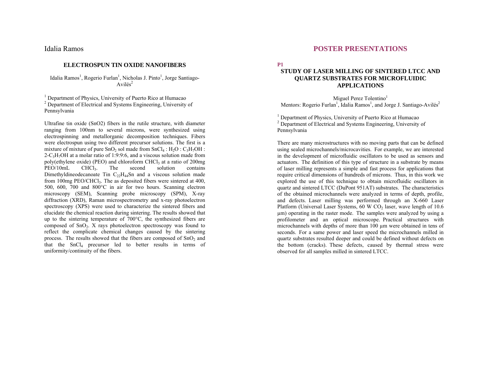## Idalia Ramos

#### **ELECTROSPUN TIN OXIDE NANOFIBERS**

Idalia Ramos<sup>1</sup>, Rogerio Furlan<sup>1</sup>, Nicholas J. Pinto<sup>1</sup>, Jorge Santiago- $Avil\acute{e}s^2$ 

<sup>1</sup> Department of Physics, University of Puerto Rico at Humacao 2 Department of Electrical and Systems Engineering, University of Pennsylvania

Ultrafine tin oxide (SnO2) fibers in the rutile structure, with diameter ranging from 100nm to several microns, were synthesized using electrospinning and metallorganic decomposition techniques. Fibers were electrospun using two different precursor solutions. The first is a mixture of mixture of pure  $SnO<sub>2</sub>$  sol made from  $SnCl<sub>4</sub>$ :  $H<sub>2</sub>O$ :  $C<sub>3</sub>H<sub>7</sub>OH$ :  $2-C<sub>3</sub>H<sub>7</sub>OH$  at a molar ratio of 1:9:9:6, and a viscous solution made from poly(ethylene oxide) (PEO) and chloroform CHCl<sub>3</sub> at a ratio of 200mg PEO/10mL CHCl<sub>3</sub>. The second solution contains Dimethyldineodecanoate Tin  $C_{22}H_{44}Sn$  and a viscous solution made from 100mg PEO/CHCl<sub>3</sub>. The as deposited fibers were sintered at 400, 500, 600, 700 and 800°C in air for two hours. Scanning electron microscopy (SEM), Scanning probe microscopy (SPM), X-ray diffraction (XRD), Raman microspectrometry and x-ray photoelectron spectroscopy (XPS) were used to characterize the sintered fibers and elucidate the chemical reaction during sintering. The results showed that up to the sintering temperature of 700°C, the synthesized fibers are composed of  $SnO<sub>2</sub>$ . X rays photoelectron spectroscopy was found to reflect the complicate chemical changes caused by the sintering process. The results showed that the fibers are composed of  $SnO<sub>2</sub>$  and that the  $SnCl<sub>4</sub>$  precursor led to better results in terms of uniformity/continuity of the fibers.

## **POSTER PRESENTATIONS**

**P1** 

## **STUDY OF LASER MILLING OF SINTERED LTCC AND QUARTZ SUBSTRATES FOR MICROFLUIDIC APPLICATIONS**

Miguel Perez Tolentino<sup>1</sup> Mentors: Rogerio Furlan<sup>1</sup>, Idalia Ramos<sup>1</sup>, and Jorge J. Santiago-Avilés<sup>2</sup>

<sup>1</sup> Department of Physics, University of Puerto Rico at Humacao <sup>2</sup> Department of Electrical and Systems Engineering, University of Pennsylvania

There are many microstructures with no moving parts that can be defined using sealed microchannels/microcavities. For example, we are interested in the development of microfluidic oscillators to be used as sensors and actuators. The definition of this type of structure in a substrate by means of laser milling represents a simple and fast process for applications that require critical dimensions of hundreds of microns. Thus, in this work we explored the use of this technique to obtain microfluidic oscillators in quartz and sintered LTCC (DuPont 951AT) substrates. The characteristics of the obtained microchannels were analyzed in terms of depth, profile, and defects. Laser milling was performed through an X-660 Laser Platform (Universal Laser Systems,  $60 \text{ W CO}$ , laser, wave length of  $10.6$ µm) operating in the raster mode. The samples were analyzed by using a profilometer and an optical microscope. Practical structures with microchannels with depths of more than 100 µm were obtained in tens of seconds. For a same power and laser speed the microchannels milled in quartz substrates resulted deeper and could be defined without defects on the bottom (cracks). These defects, caused by thermal stress were observed for all samples milled in sintered LTCC.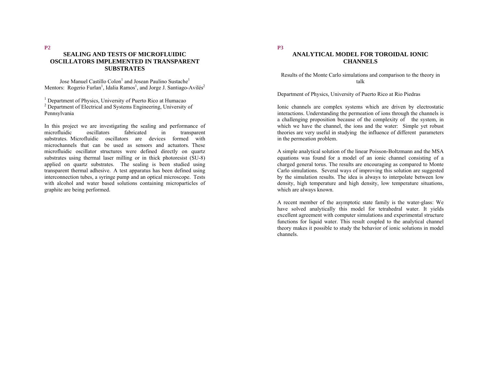## **SEALING AND TESTS OF MICROFLUIDIC OSCILLATORS IMPLEMENTED IN TRANSPARENT SUBSTRATES**

Jose Manuel Castillo Colon<sup>1</sup> and Josean Paulino Sustache<sup>1</sup> Mentors: Rogerio Furlan<sup>1</sup>, Idalia Ramos<sup>1</sup>, and Jorge J. Santiago-Avilés<sup>2</sup>

<sup>1</sup> Department of Physics, University of Puerto Rico at Humacao

<sup>2</sup> Department of Electrical and Systems Engineering, University of Pennsylvania

In this project we are investigating the sealing and performance of microfluidic oscillators fabricated in transparent substrates. Microfluidic oscillators are devices formed with microchannels that can be used as sensors and actuators. These microfluidic oscillator structures were defined directly on quartz substrates using thermal laser milling or in thick photoresist (SU-8) applied on quartz substrates. The sealing is been studied using transparent thermal adhesive. A test apparatus has been defined using interconnection tubes, a syringe pump and an optical microscope. Tests with alcohol and water based solutions containing microparticles of graphite are being performed.

## **P3**

## **ANALYTICAL MODEL FOR TOROIDAL IONIC CHANNELS**

Results of the Monte Carlo simulations and comparison to the theory in talk

Department of Physics, University of Puerto Rico at Rio Piedras

Ionic channels are complex systems which are driven by electrostatic interactions. Understanding the permeation of ions through the channels is a challenging proposition because of the complexity of the system, in which we have the channel, the ions and the water: Simple yet robust theories are very useful in studying the influence of different parameters in the permeation problem.

A simple analytical solution of the linear Poisson-Boltzmann and the MSA equations was found for a model of an ionic channel consisting of a charged general torus. The results are encouraging as compared to Monte Carlo simulations. Several ways of improving this solution are suggested by the simulation results. The idea is always to interpolate between low density, high temperature and high density, low temperature situations. which are always known.

A recent member of the asymptotic state family is the water-glass: We have solved analytically this model for tetrahedral water. It yields excellent agreement with computer simulations and experimental structure functions for liquid water. This result coupled to the analytical channel theory makes it possible to study the behavior of ionic solutions in model channels.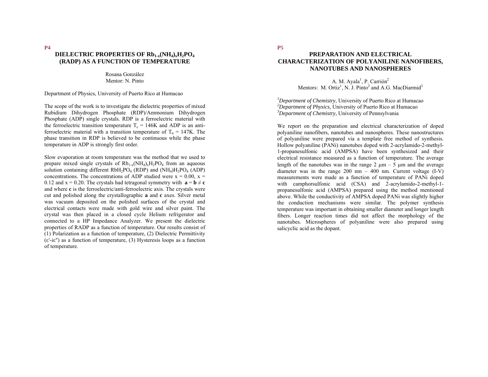# DIELECTRIC PROPERTIES OF Rb<sub>1-x</sub>(NH<sub>4)x</sub>H<sub>2</sub>PO<sub>4</sub> **(RADP) AS A FUNCTION OF TEMPERATURE**

Rosana González Mentor: N. Pinto

Department of Physics, University of Puerto Rico at Humacao

The scope of the work is to investigate the dielectric properties of mixed Rubidium Dihydrogen Phosphate (RDP)/Ammonium Dihydrogen Phosphate (ADP) single crystals. RDP is a ferroelectric material with the ferroelectric transition temperature  $T_c = 146K$  and ADP is an antiferroelectric material with a transition temperature of  $T_n = 147K$ . The phase transition in RDP is believed to be continuous while the phase temperature in ADP is strongly first order.

Slow evaporation at room temperature was the method that we used to prepare mixed single crystals of  $Rb_{1-x}(NH_4)_xH_2PO_4$  from an aqueous solution containing different  $RbH_2PO_4$  (RDP) and  $(NH_4)H_2PO_4$  (ADP) concentrations. The concentrations of ADP studied were  $x = 0.00$ ,  $x =$ 0.12 and  $x = 0.20$ . The crystals had tetragonal symmetry with  $\mathbf{a} = \mathbf{b} \neq \mathbf{c}$ and where **c** is the ferroelectric/anti-ferroelectric axis. The crystals were cut and polished along the crystallographic **a** and **c** axes. Silver metal was vacuum deposited on the polished surfaces of the crystal and electrical contacts were made with gold wire and silver paint. The crystal was then placed in a closed cycle Helium refrigerator and connected to a HP Impedance Analyzer. We present the dielectric properties of RADP as a function of temperature. Our results consist of (1) Polarization as a function of temperature, (2) Dielectric Permittivity (ε′-iε″) as a function of temperature, (3) Hysteresis loops as a function of temperature.

**P5**

## **PREPARATION AND ELECTRICAL CHARACTERIZATION OF POLYANILINE NANOFIBERS, NANOTUBES AND NANOSPHERES**

A. M. Avala<sup>1</sup>, P. Carrión<sup>2</sup> Mentors: M. Ortiz<sup>1</sup>, N. J. Pinto<sup>2</sup> and A.G. MacDiarmid<sup>3</sup>

*1Department of Chemistry,* University of Puerto Rico at Humacao *2Department of Physics,* University of Puerto Rico at Humacao *3Department of Chemistry,* University of Pennsylvania

We report on the preparation and electrical characterization of doped polyaniline nanofibers, nanotubes and nanospheres. These nanostructures of polyaniline were prepared via a template free method of synthesis. Hollow polyaniline (PANi) nanotubes doped with 2-acrylamido-2-methyl-1-propanesulfonic acid (AMPSA) have been synthesized and their electrical resistance measured as a function of temperature. The average length of the nanotubes was in the range  $2 \mu m - 5 \mu m$  and the average diameter was in the range  $200 \text{ nm} - 400 \text{ nm}$ . Current voltage  $(I-V)$ measurements were made as a function of temperature of PANi doped with camphorsulfonic acid (CSA) and 2-acrylamido-2-methyl-1propanesulfonic acid (AMPSA) prepared using the method mentioned above. While the conductivity of AMPSA doped PANi was slightly higher the conduction mechanisms were similar. The polymer synthesis temperature was important in obtaining smaller diameter and longer length fibers. Longer reaction times did not affect the morphology of the nanotubes. Microspheres of polyaniline were also prepared using salicyclic acid as the dopant.

**P4**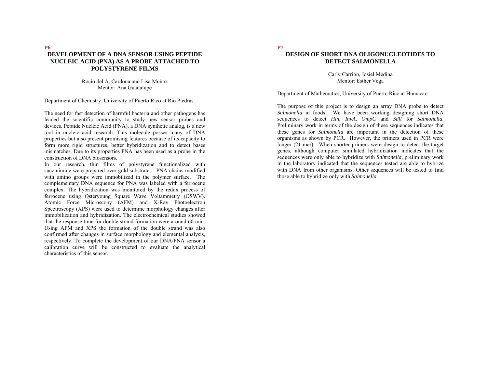## **P6 DEVELOPMENT OF A DNA SENSOR USING PEPTIDE NUCLEIC ACID (PNA) AS A PROBE ATTACHED TO POLYSTYRENE FILMS**

Rocío del A. Cardona and Lisa Muñoz Mentor: Ana Guadalupe

Department of Chemistry, University of Puerto Rico at Rio Piedras

The need for fast detection of harmful bacteria and other pathogens has leaded the scientific community to study new sensor probes and devices. Peptide Nucleic Acid (PNA), a DNA synthetic analog, is a new tool in nucleic acid research. This molecule posses many of DNA properties but also present promising features because of its capacity to form more rigid structures, better hybridization and to detect bases mismatches. Due to its properties PNA has been used as a probe in the construction of DNA biosensors.

In our research, thin films of polystyrene functionalized with succinimide were prepared over gold substrates. PNA chains modified with amino groups were immobilized in the polymer surface. The complementary DNA sequence for PNA was labeled with a ferrocene complex. The hybridization was monitored by the redox process of ferrocene using Osteryoung Square Wave Voltammetry (OSWV). Atomic Force Microscopy (AFM) and X-Ray Photoelectron Spectroscopy (XPS) were used to determine morphology changes after immobilization and hybridization. The electrochemical studies showed that the response time for double strand formation were around 60 min. Using AFM and XPS the formation of the double strand was also confirmed after changes in surface morphology and elemental analysis, respectively. To complete the development of our DNA/PNA sensor a calibration curve will be constructed to evaluate the analytical characteristics of this sensor.

## **DESIGN OF SHORT DNA OLIGONUCLEOTIDES TO DETECT SALMONELLA**

Carly Carrión, Josiel Medina Mentor: Esther Vega

Department of Mathematics, University of Puerto Rico at Humacao

The purpose of this project is to design an array DNA probe to detect *Salmonella* in foods. We have been working designing short DNA sequences to detect *Hin*, *InvA*, *OmpC* and *Sdfl* for *Salmonella*. Preliminary work in terms of the design of these sequences indicates that these genes for *Salmonella* are important in the detection of these organisms as shown by PCR. However, the primers used in PCR were longer (21-mer). When shorter primers were design to detect the target genes, although computer simulated hybridization indicates that the sequences were only able to hybridize with *Salmonella*, preliminary work in the laboratory indicated that the sequences tested are able to hybrize with DNA from other organisms. Other sequences will be tested to find those able to hybridize only with *Salmonella*.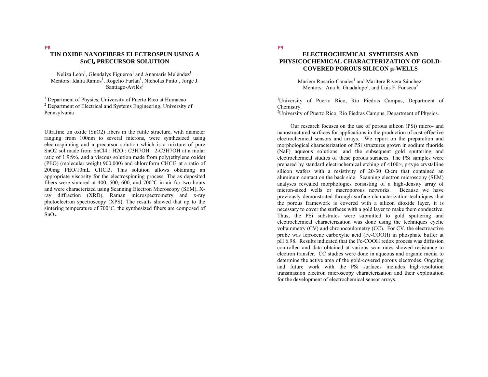## **TIN OXIDE NANOFIBERS ELECTROSPUN USING A SnCl4 PRECURSOR SOLUTION**

Neliza León<sup>1</sup>, Glendalys Figueroa<sup>1</sup> and Anamaris Meléndez<sup>1</sup> Mentors: Idalia Ramos<sup>1</sup>, Rogelio Furlan<sup>1</sup>, Nicholas Pinto<sup>1</sup>, Jorge J. Santiago-Avilés<sup>2</sup>

<sup>1</sup> Department of Physics, University of Puerto Rico at Humacao <sup>2</sup> Department of Electrical and Systems Engineering, University of Pennsylvania

Ultrafine tin oxide (SnO2) fibers in the rutile structure, with diameter ranging from 100nm to several microns, were synthesized using electrospinning and a precursor solution which is a mixture of pure SnO2 sol made from SnCl4 : H2O : C3H7OH : 2-C3H7OH at a molar ratio of 1:9:9:6, and a viscous solution made from poly(ethylene oxide) (PEO) (molecular weight 900,000) and chloroform CHCl3 at a ratio of 200mg PEO/10mL CHCl3. This solution allows obtaining an appropriate viscosity for the electrospinning process. The as deposited fibers were sintered at 400, 500, 600, and 700°C in air for two hours and were characterized using Scanning Electron Microscopy (SEM), Xray diffraction (XRD), Raman microspectrometry and x-ray photoelectron spectroscopy (XPS). The results showed that up to the sintering temperature of 700°C, the synthesized fibers are composed of  $SnO<sub>2</sub>$ .

## **P9**

## **ELECTROCHEMICAL SYNTHESIS AND PHYSICOCHEMICAL CHARACTERIZATION OF GOLD-COVERED POROUS SILICON µ-WELLS**

Mariem Rosario-Canales<sup>1</sup> and Maritere Rivera Sánchez<sup>1</sup> Mentors: Ana R. Guadalupe<sup>1</sup>, and Luis F. Fonseca<sup>2</sup>

<sup>1</sup>University of Puerto Rico, Río Piedras Campus, Department of Chemistry.

<sup>2</sup>University of Puerto Rico, Río Piedras Campus, Department of Physics.

Our research focuses on the use of porous silicon (PSi) micro- and nanostructured surfaces for applications in the production of cost-effective electrochemical sensors and arrays. We report on the preparation and morphological characterization of PSi structures grown in sodium fluoride (NaF) aqueous solutions, and the subsequent gold sputtering and electrochemical studies of these porous surfaces. The PSi samples were prepared by standard electrochemical etching of <100>, p-type crystalline silicon wafers with a resistivity of 20-30  $\Omega$ ⋅cm that contained an aluminum contact on the back side. Scanning electron microscopy (SEM) analyses revealed morphologies consisting of a high-density array of micron-sized wells or macroporous networks. Because we have previously demonstrated through surface characterization techniques that the porous framework is covered with a silicon dioxide layer, it is necessary to cover the surfaces with a gold layer to make them conductive. Thus, the PSi substrates were submitted to gold sputtering and electrochemical characterization was done using the techniques cyclic voltammetry (CV) and chronocoulometry (CC). For CV, the electroactive probe was ferrocene carboxylic acid (Fc-COOH) in phosphate buffer at pH 6.98. Results indicated that the Fc-COOH redox process was diffusion controlled and data obtained at various scan rates showed resistance to electron transfer. CC studies were done in aqueous and organic media to determine the active area of the gold-covered porous electrodes. Ongoing and future work with the PSi surfaces includes high-resolution transmission electron microscopy characterization and their exploitation for the development of electrochemical sensor arrays.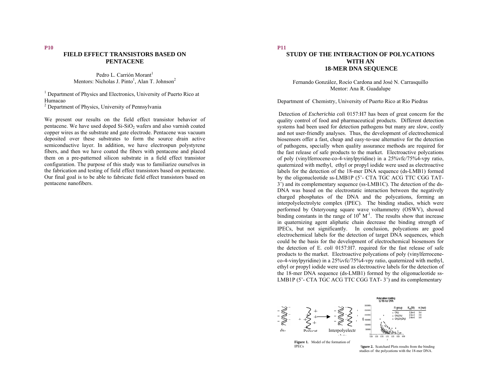## **FIELD EFFECT TRANSISTORS BASED ON PENTACENE**

Pedro L. Carrión Morant<sup>1</sup> Mentors: Nicholas J. Pinto<sup>1</sup>, Alan T. Johnson<sup>2</sup>

<sup>1</sup> Department of Physics and Electronics, University of Puerto Rico at Humacao 2 Department of Physics, University of Pennsylvania

We present our results on the field effect transistor behavior of pentacene. We have used doped  $Si-SiO<sub>2</sub>$  wafers and also varnish coated copper wires as the substrate and gate electrode. Pentacene was vacuum deposited over these substrates to form the source drain active semiconductive layer. In addition, we have electrospun polystyrene fibers, and then we have coated the fibers with pentacene and placed them on a pre-patterned silicon substrate in a field effect transistor configuration. The purpose of this study was to familiarize ourselves in the fabrication and testing of field effect transistors based on pentacene. Our final goal is to be able to fabricate field effect transistors based on pentacene nanofibers.

## **P11**

## **STUDY OF THE INTERACTION OF POLYCATIONS WITH AN 18-MER DNA SEQUENCE**

Fernando González, Rocío Cardona and José N. Carrasquillo Mentor: Ana R. Guadalupe

Department of Chemistry, University of Puerto Rico at Rio Piedras

 Detection of *Escherichia coli* 0157:H7 has been of great concern for the quality control of food and pharmaceutical products. Different detection systems had been used for detection pathogens but many are slow, costly and not user-friendly analyses. Thus, the development of electrochemical biosensors offer a fast, cheap and easy-to-use alternative for the detection of pathogens, specially when quality assurance methods are required for the fast release of safe products to the market. Electroactive polycations of poly (vinylferrocene-co-4-vinylpyridine) in a 25%vfc/75%4-vpy ratio, quaternized with methyl, ethyl or propyl iodide were used as electroactive labels for the detection of the 18-mer DNA sequence (ds-LMB1) formed by the oligonucleotide ss-LMB1P (5'- CTA TGC ACG TTC CGG TAT-3') and its complementary sequence (ss-LMB1C). The detection of the ds-DNA was based on the electrostatic interaction between the negatively charged phosphates of the DNA and the polycations, forming an interpolyelectrolyte complex (IPEC). The binding studies, which were performed by Osteryoung square wave voltammetry (OSWV), showed binding constants in the range of  $10^6$  M<sup>-1</sup>. The results show that increase in quaternizing agent aliphatic chain decrease the binding strength of IPECs, but not significantly. In conclusion, polycations are good electrochemical labels for the detection of target DNA sequences, which could be the basis for the development of electrochemical biosensors for the detection of E. *coli* 0157:H7. required for the fast release of safe products to the market. Electroactive polycations of poly (vinylferroceneco-4-vinylpyridine) in a 25%vfc/75%4-vpy ratio, quaternized with methyl, ethyl or propyl iodide were used as electroactive labels for the detection of the 18-mer DNA sequence (ds-LMB1) formed by the oligonucleotide ss-LMB1P (5'- CTA TGC ACG TTC CGG TAT-3') and its complementary

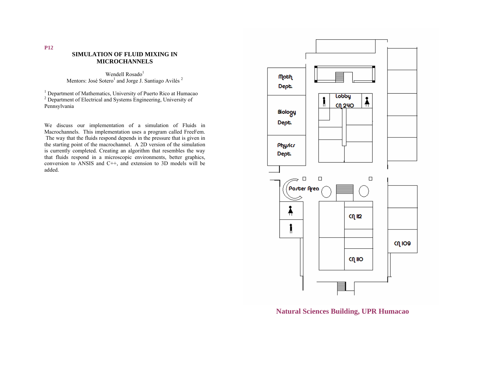## **SIMULATION OF FLUID MIXING IN MICROCHANNELS**

Wendell  $Rosado<sup>1</sup>$ Mentors: José Sotero<sup>1</sup> and Jorge J. Santiago Avilés<sup>2</sup>

1 Department of Mathematics, University of Puerto Rico at Humacao <sup>2</sup> Department of Electrical and Systems Engineering, University of Pennsylvania

We discuss our implementation of a simulation of Fluids in Macrochannels. This implementation uses a program called FreeFem. The way that the fluids respond depends in the pressure that is given in the starting point of the macrochannel. A 2D version of the simulation is currently completed. Creating an algorithm that resembles the way that fluids respond in a microscopic environments, better graphics, conversion to ANSIS and C++, and extension to 3D models will be added.



**Natural Sciences Building, UPR Humacao**